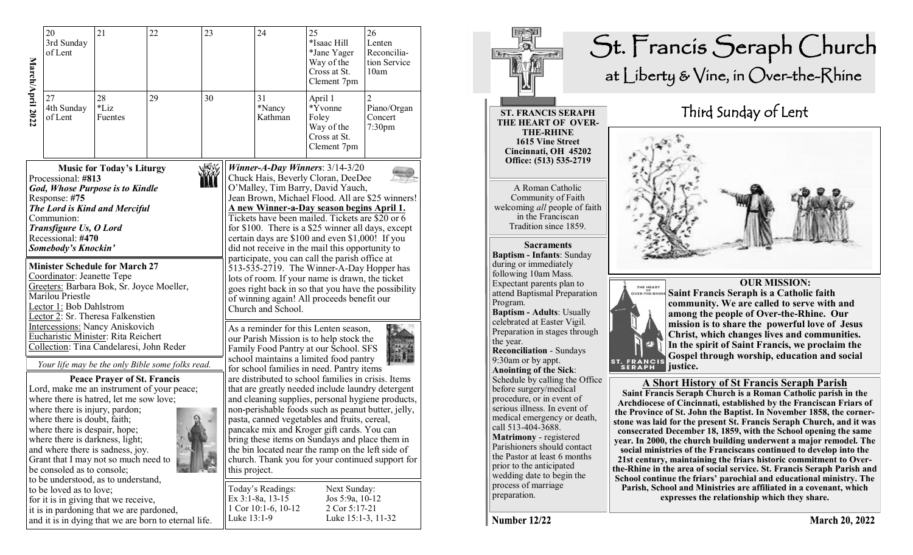|                                                                                                                                                                                                                                                                                          | 20<br>3rd Sunday<br>of Lent                                                                                                   | 21                                                                                                                                                                                           | 22<br>23                                                                                       |                                                                                                                                                                                                                                                                                                                                                                                                                                                                                                                                                                                      |             | 24                                                                                                                                                                                                                                                                                                      | 25<br>*Isaac Hill<br>*Jane Yager<br>Way of the<br>Cross at St.<br>Clement 7pm | 26<br>Lenten<br>Reconcilia-<br>tion Service<br>10am |  |  |
|------------------------------------------------------------------------------------------------------------------------------------------------------------------------------------------------------------------------------------------------------------------------------------------|-------------------------------------------------------------------------------------------------------------------------------|----------------------------------------------------------------------------------------------------------------------------------------------------------------------------------------------|------------------------------------------------------------------------------------------------|--------------------------------------------------------------------------------------------------------------------------------------------------------------------------------------------------------------------------------------------------------------------------------------------------------------------------------------------------------------------------------------------------------------------------------------------------------------------------------------------------------------------------------------------------------------------------------------|-------------|---------------------------------------------------------------------------------------------------------------------------------------------------------------------------------------------------------------------------------------------------------------------------------------------------------|-------------------------------------------------------------------------------|-----------------------------------------------------|--|--|
| March/April 2022                                                                                                                                                                                                                                                                         | 27<br>4th Sunday<br>of Lent                                                                                                   | 28<br>*Liz<br>Fuentes                                                                                                                                                                        | 29                                                                                             | 30                                                                                                                                                                                                                                                                                                                                                                                                                                                                                                                                                                                   |             | 31<br>*Nancy<br>Kathman                                                                                                                                                                                                                                                                                 | April 1<br>*Yvonne<br>Foley<br>Way of the<br>Cross at St.<br>Clement 7pm      | Piano/Organ<br>Concert<br>7:30 <sub>pm</sub>        |  |  |
|                                                                                                                                                                                                                                                                                          | Processional: #813<br>Response: #75<br>Communion:<br>Transfigure Us, O Lord<br>Recessional: #470<br>Somebody's Knockin'       | <b>Music for Today's Liturgy</b><br>God, Whose Purpose is to Kindle<br>The Lord is Kind and Merciful<br><b>Minister Schedule for March 27</b>                                                |                                                                                                | Winner-A-Day Winners: $3/14-3/20$<br>Chuck Hais, Beverly Cloran, DeeDee<br>O'Malley, Tim Barry, David Yauch,<br>Jean Brown, Michael Flood. All are \$25 winners!<br><u>A new Winner-a-Day season begins April 1.</u><br>Tickets have been mailed. Tickets are \$20 or 6<br>for \$100. There is a \$25 winner all days, except<br>certain days are \$100 and even \$1,000! If you<br>did not receive in the mail this opportunity to<br>participate, you can call the parish office at<br>$\overline{5}13 - 535 - 2719$ . The Winner-A-Day Hopper has                                 |             |                                                                                                                                                                                                                                                                                                         |                                                                               |                                                     |  |  |
| Coordinator: Jeanette Tepe<br>Greeters: Barbara Bok, Sr. Joyce Moeller,<br>Marilou Priestle<br>Lector 1: Bob Dahlstrom<br>Lector 2: Sr. Theresa Falkenstien<br><b>Intercessions: Nancy Aniskovich</b><br>Eucharistic Minister: Rita Reichert<br>Collection: Tina Candelaresi, John Reder |                                                                                                                               |                                                                                                                                                                                              |                                                                                                |                                                                                                                                                                                                                                                                                                                                                                                                                                                                                                                                                                                      |             | lots of room. If your name is drawn, the ticket<br>goes right back in so that you have the possibility<br>of winning again! All proceeds benefit our<br>Church and School.<br>As a reminder for this Lenten season,<br>our Parish Mission is to help stock the<br>Family Food Pantry at our School. SFS |                                                                               |                                                     |  |  |
|                                                                                                                                                                                                                                                                                          | where there is injury, pardon;<br>where there is doubt, faith;<br>where there is despair, hope;<br>be consoled as to console; | <b>Peace Prayer of St. Francis</b><br>where there is hatred, let me sow love;<br>where there is darkness, light;<br>and where there is sadness, joy.<br>Grant that I may not so much need to | Your life may be the only Bible some folks read.<br>Lord, make me an instrument of your peace; | school maintains a limited food pantry<br>for school families in need. Pantry items<br>are distributed to school families in crisis. Items<br>that are greatly needed include laundry detergent<br>and cleaning supplies, personal hygiene products,<br>non-perishable foods such as peanut butter, jelly,<br>pasta, canned vegetables and fruits, cereal,<br>pancake mix and Kroger gift cards. You can<br>bring these items on Sundays and place them in<br>the bin located near the ramp on the left side of<br>church. Thank you for your continued support for<br>this project. |             |                                                                                                                                                                                                                                                                                                         |                                                                               |                                                     |  |  |
|                                                                                                                                                                                                                                                                                          | to be loved as to love;                                                                                                       | to be understood, as to understand,<br>for it is in giving that we receive,<br>it is in pardoning that we are pardoned,                                                                      | and it is in dying that we are born to eternal life.                                           |                                                                                                                                                                                                                                                                                                                                                                                                                                                                                                                                                                                      | Luke 13:1-9 | Today's Readings:<br>Ex 3:1-8a, 13-15<br>1 Cor 10:1-6, 10-12                                                                                                                                                                                                                                            | Next Sunday:<br>Jos 5:9a, 10-12<br>2 Cor 5:17-21<br>Luke 15:1-3, 11-32        |                                                     |  |  |